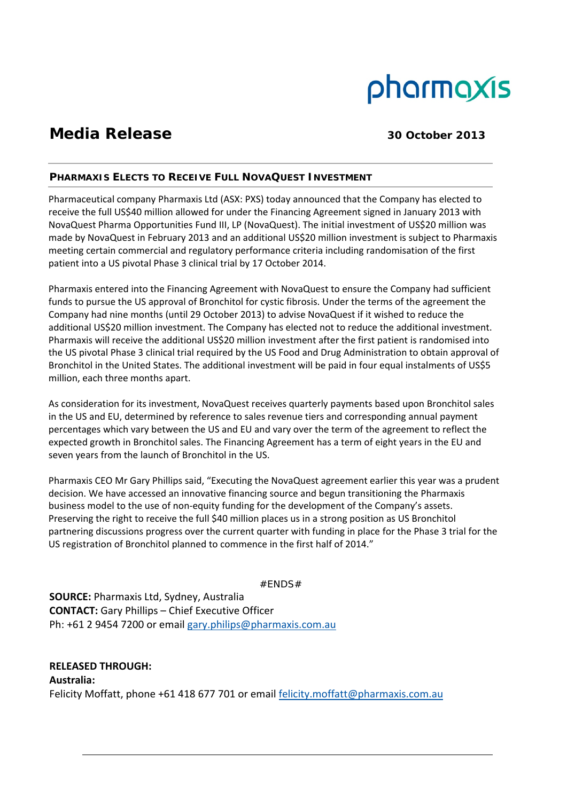# pharmaxis

## **Media Release** 30 October 2013

### **PHARMAXIS ELECTS TO RECEIVE FULL NOVAQUEST INVESTMENT**

Pharmaceutical company Pharmaxis Ltd (ASX: PXS) today announced that the Company has elected to receive the full US\$40 million allowed for under the Financing Agreement signed in January 2013 with NovaQuest Pharma Opportunities Fund III, LP (NovaQuest). The initial investment of US\$20 million was made by NovaQuest in February 2013 and an additional US\$20 million investment is subject to Pharmaxis meeting certain commercial and regulatory performance criteria including randomisation of the first patient into a US pivotal Phase 3 clinical trial by 17 October 2014.

Pharmaxis entered into the Financing Agreement with NovaQuest to ensure the Company had sufficient funds to pursue the US approval of Bronchitol for cystic fibrosis. Under the terms of the agreement the Company had nine months (until 29 October 2013) to advise NovaQuest if it wished to reduce the additional US\$20 million investment. The Company has elected not to reduce the additional investment. Pharmaxis will receive the additional US\$20 million investment after the first patient is randomised into the US pivotal Phase 3 clinical trial required by the US Food and Drug Administration to obtain approval of Bronchitol in the United States. The additional investment will be paid in four equal instalments of US\$5 million, each three months apart.

As consideration for its investment, NovaQuest receives quarterly payments based upon Bronchitol sales in the US and EU, determined by reference to sales revenue tiers and corresponding annual payment percentages which vary between the US and EU and vary over the term of the agreement to reflect the expected growth in Bronchitol sales. The Financing Agreement has a term of eight years in the EU and seven years from the launch of Bronchitol in the US.

Pharmaxis CEO Mr Gary Phillips said, "Executing the NovaQuest agreement earlier this year was a prudent decision. We have accessed an innovative financing source and begun transitioning the Pharmaxis business model to the use of non‐equity funding for the development of the Company's assets. Preserving the right to receive the full \$40 million places us in a strong position as US Bronchitol partnering discussions progress over the current quarter with funding in place for the Phase 3 trial for the US registration of Bronchitol planned to commence in the first half of 2014."

#ENDS#

**SOURCE:** Pharmaxis Ltd, Sydney, Australia **CONTACT:** Gary Phillips – Chief Executive Officer Ph: +61 2 9454 7200 or email gary.philips@pharmaxis.com.au

**RELEASED THROUGH: Australia:** Felicity Moffatt, phone +61 418 677 701 or email felicity.moffatt@pharmaxis.com.au